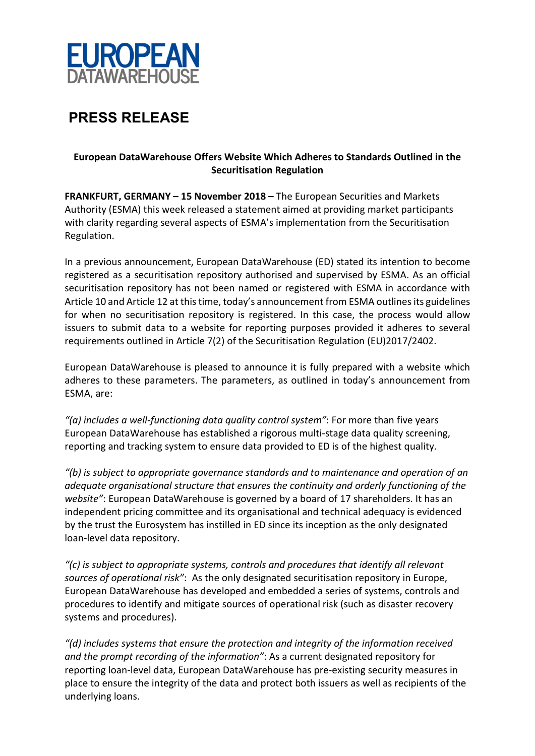

## **PRESS RELEASE**

## **European DataWarehouse Offers Website Which Adheres to Standards Outlined in the Securitisation Regulation**

**FRANKFURT, GERMANY – 15 November 2018 –** The European Securities and Markets Authority (ESMA) this week released a statement aimed at providing market participants with clarity regarding several aspects of ESMA's implementation from the Securitisation Regulation.

In a previous announcement, European DataWarehouse (ED) stated its intention to become registered as a securitisation repository authorised and supervised by ESMA. As an official securitisation repository has not been named or registered with ESMA in accordance with Article 10 and Article 12 at this time, today's announcement from ESMA outlines its guidelines for when no securitisation repository is registered. In this case, the process would allow issuers to submit data to a website for reporting purposes provided it adheres to several requirements outlined in Article 7(2) of the Securitisation Regulation (EU)2017/2402.

European DataWarehouse is pleased to announce it is fully prepared with a website which adheres to these parameters. The parameters, as outlined in today's announcement from ESMA, are:

*"(a) includes a well-functioning data quality control system"*: For more than five years European DataWarehouse has established a rigorous multi-stage data quality screening, reporting and tracking system to ensure data provided to ED is of the highest quality.

*"(b) is subject to appropriate governance standards and to maintenance and operation of an adequate organisational structure that ensures the continuity and orderly functioning of the website"*: European DataWarehouse is governed by a board of 17 shareholders. It has an independent pricing committee and its organisational and technical adequacy is evidenced by the trust the Eurosystem has instilled in ED since its inception as the only designated loan-level data repository.

*"(c) is subject to appropriate systems, controls and procedures that identify all relevant sources of operational risk"*: As the only designated securitisation repository in Europe, European DataWarehouse has developed and embedded a series of systems, controls and procedures to identify and mitigate sources of operational risk (such as disaster recovery systems and procedures).

*"(d) includes systems that ensure the protection and integrity of the information received and the prompt recording of the information"*: As a current designated repository for reporting loan-level data, European DataWarehouse has pre-existing security measures in place to ensure the integrity of the data and protect both issuers as well as recipients of the underlying loans.